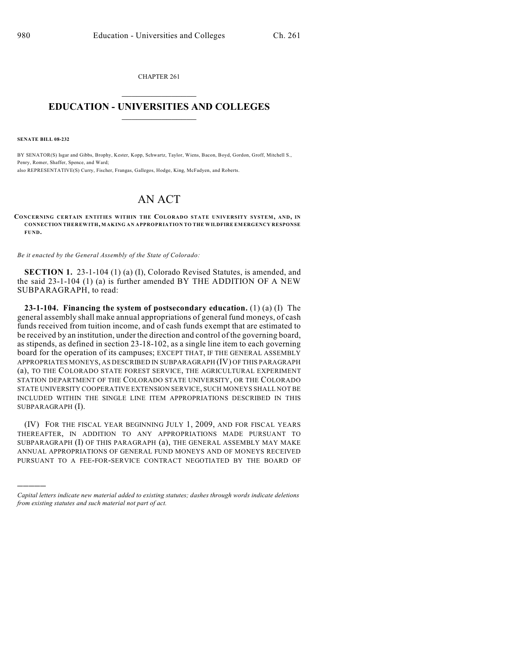CHAPTER 261  $\overline{\phantom{a}}$  . The set of the set of the set of the set of the set of the set of the set of the set of the set of the set of the set of the set of the set of the set of the set of the set of the set of the set of the set o

## **EDUCATION - UNIVERSITIES AND COLLEGES**  $\_$

**SENATE BILL 08-232**

)))))

BY SENATOR(S) Isgar and Gibbs, Brophy, Kester, Kopp, Schwartz, Taylor, Wiens, Bacon, Boyd, Gordon, Groff, Mitchell S., Penry, Romer, Shaffer, Spence, and Ward; also REPRESENTATIVE(S) Curry, Fischer, Frangas, Gallegos, Hodge, King, McFadyen, and Roberts.

## AN ACT

**CONCERNING CERTAIN ENTITIES WITHIN THE COLORADO STATE UNIVERSITY SYSTEM, AND, IN CONNECTION THEREWITH, MAKING AN APPROPRIATION TO THE WILDFIRE EMERGENCY RESPONSE FUND.**

*Be it enacted by the General Assembly of the State of Colorado:*

**SECTION 1.** 23-1-104 (1) (a) (I), Colorado Revised Statutes, is amended, and the said 23-1-104 (1) (a) is further amended BY THE ADDITION OF A NEW SUBPARAGRAPH, to read:

**23-1-104. Financing the system of postsecondary education.** (1) (a) (I) The general assembly shall make annual appropriations of general fund moneys, of cash funds received from tuition income, and of cash funds exempt that are estimated to be received by an institution, under the direction and control of the governing board, as stipends, as defined in section 23-18-102, as a single line item to each governing board for the operation of its campuses; EXCEPT THAT, IF THE GENERAL ASSEMBLY APPROPRIATES MONEYS, AS DESCRIBED IN SUBPARAGRAPH (IV) OF THIS PARAGRAPH (a), TO THE COLORADO STATE FOREST SERVICE, THE AGRICULTURAL EXPERIMENT STATION DEPARTMENT OF THE COLORADO STATE UNIVERSITY, OR THE COLORADO STATE UNIVERSITY COOPERATIVE EXTENSION SERVICE, SUCH MONEYS SHALL NOT BE INCLUDED WITHIN THE SINGLE LINE ITEM APPROPRIATIONS DESCRIBED IN THIS SUBPARAGRAPH (I).

(IV) FOR THE FISCAL YEAR BEGINNING JULY 1, 2009, AND FOR FISCAL YEARS THEREAFTER, IN ADDITION TO ANY APPROPRIATIONS MADE PURSUANT TO SUBPARAGRAPH (I) OF THIS PARAGRAPH (a), THE GENERAL ASSEMBLY MAY MAKE ANNUAL APPROPRIATIONS OF GENERAL FUND MONEYS AND OF MONEYS RECEIVED PURSUANT TO A FEE-FOR-SERVICE CONTRACT NEGOTIATED BY THE BOARD OF

*Capital letters indicate new material added to existing statutes; dashes through words indicate deletions from existing statutes and such material not part of act.*